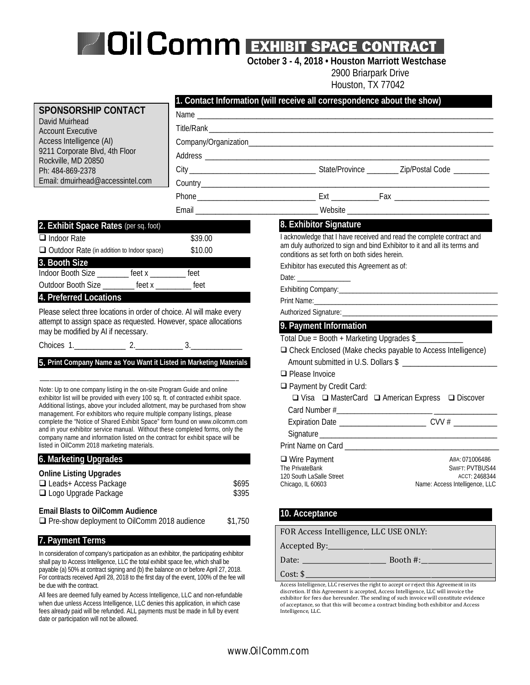## *Oil Comm Exhibit Space Contract***<br>
October 3 - 4, 2018 • Houston Marriott Westchase**

2900 Briarpark Drive

Houston, TX 77042

|                                                                                                                                                                                                                                                                                                                                                                                                                                                                                                                                                                                                                              |         | <b>TIUUSIUII, TA 77042</b>                                                                                                                                                                                                          |                                  |
|------------------------------------------------------------------------------------------------------------------------------------------------------------------------------------------------------------------------------------------------------------------------------------------------------------------------------------------------------------------------------------------------------------------------------------------------------------------------------------------------------------------------------------------------------------------------------------------------------------------------------|---------|-------------------------------------------------------------------------------------------------------------------------------------------------------------------------------------------------------------------------------------|----------------------------------|
|                                                                                                                                                                                                                                                                                                                                                                                                                                                                                                                                                                                                                              |         | 1. Contact Information (will receive all correspondence about the show)                                                                                                                                                             |                                  |
| <b>SPONSORSHIP CONTACT</b>                                                                                                                                                                                                                                                                                                                                                                                                                                                                                                                                                                                                   |         |                                                                                                                                                                                                                                     |                                  |
| David Muirhead<br><b>Account Executive</b>                                                                                                                                                                                                                                                                                                                                                                                                                                                                                                                                                                                   |         | Title/Rank <b>Community Community Community Community</b> Community Community Community Community Community Community Community Community Community Community Community Community Community Community Community Community Community |                                  |
| Access Intelligence (AI)                                                                                                                                                                                                                                                                                                                                                                                                                                                                                                                                                                                                     |         |                                                                                                                                                                                                                                     |                                  |
| 9211 Corporate Blvd, 4th Floor                                                                                                                                                                                                                                                                                                                                                                                                                                                                                                                                                                                               |         |                                                                                                                                                                                                                                     |                                  |
| Rockville, MD 20850                                                                                                                                                                                                                                                                                                                                                                                                                                                                                                                                                                                                          |         |                                                                                                                                                                                                                                     |                                  |
| Ph: 484-869-2378<br>Email: dmuirhead@accessintel.com                                                                                                                                                                                                                                                                                                                                                                                                                                                                                                                                                                         |         |                                                                                                                                                                                                                                     |                                  |
|                                                                                                                                                                                                                                                                                                                                                                                                                                                                                                                                                                                                                              |         |                                                                                                                                                                                                                                     |                                  |
|                                                                                                                                                                                                                                                                                                                                                                                                                                                                                                                                                                                                                              |         |                                                                                                                                                                                                                                     |                                  |
|                                                                                                                                                                                                                                                                                                                                                                                                                                                                                                                                                                                                                              |         | Email ___________________________________Website _______________________________                                                                                                                                                    |                                  |
| 2. Exhibit Space Rates (per sq. foot)                                                                                                                                                                                                                                                                                                                                                                                                                                                                                                                                                                                        |         | 8. Exhibitor Signature                                                                                                                                                                                                              |                                  |
| $\Box$ Indoor Rate                                                                                                                                                                                                                                                                                                                                                                                                                                                                                                                                                                                                           | \$39.00 | I acknowledge that I have received and read the complete contract and<br>am duly authorized to sign and bind Exhibitor to it and all its terms and                                                                                  |                                  |
| □ Outdoor Rate (in addition to Indoor space)                                                                                                                                                                                                                                                                                                                                                                                                                                                                                                                                                                                 | \$10.00 | conditions as set forth on both sides herein.                                                                                                                                                                                       |                                  |
| 3. Booth Size<br>Indoor Booth Size _________ feet x _______ feet                                                                                                                                                                                                                                                                                                                                                                                                                                                                                                                                                             |         | Exhibitor has executed this Agreement as of:                                                                                                                                                                                        |                                  |
| Outdoor Booth Size ________ feet x ________ feet                                                                                                                                                                                                                                                                                                                                                                                                                                                                                                                                                                             |         |                                                                                                                                                                                                                                     |                                  |
| 4. Preferred Locations                                                                                                                                                                                                                                                                                                                                                                                                                                                                                                                                                                                                       |         |                                                                                                                                                                                                                                     |                                  |
| Please select three locations in order of choice. Al will make every                                                                                                                                                                                                                                                                                                                                                                                                                                                                                                                                                         |         |                                                                                                                                                                                                                                     |                                  |
| attempt to assign space as requested. However, space allocations                                                                                                                                                                                                                                                                                                                                                                                                                                                                                                                                                             |         |                                                                                                                                                                                                                                     |                                  |
| may be modified by AI if necessary.                                                                                                                                                                                                                                                                                                                                                                                                                                                                                                                                                                                          |         | 9. Payment Information                                                                                                                                                                                                              |                                  |
| Choices 1. 2. 2. 3.                                                                                                                                                                                                                                                                                                                                                                                                                                                                                                                                                                                                          |         | Total Due = Booth + Marketing Upgrades \$<br>□ Check Enclosed (Make checks payable to Access Intelligence)                                                                                                                          |                                  |
| 5. Print Company Name as You Want it Listed in Marketing Materials                                                                                                                                                                                                                                                                                                                                                                                                                                                                                                                                                           |         | Amount submitted in U.S. Dollars \$                                                                                                                                                                                                 |                                  |
|                                                                                                                                                                                                                                                                                                                                                                                                                                                                                                                                                                                                                              |         | $\Box$ Please Invoice                                                                                                                                                                                                               |                                  |
|                                                                                                                                                                                                                                                                                                                                                                                                                                                                                                                                                                                                                              |         | $\Box$ Payment by Credit Card:                                                                                                                                                                                                      |                                  |
| Note: Up to one company listing in the on-site Program Guide and online<br>exhibitor list will be provided with every 100 sq. ft. of contracted exhibit space.<br>Additional listings, above your included allotment, may be purchased from show<br>management. For exhibitors who require multiple company listings, please<br>complete the "Notice of Shared Exhibit Space" form found on www.oilcomm.com<br>and in your exhibitor service manual. Without these completed forms, only the<br>company name and information listed on the contract for exhibit space will be<br>listed in OilComm 2018 marketing materials. |         | □ Visa □ MasterCard □ American Express □ Discover                                                                                                                                                                                   |                                  |
|                                                                                                                                                                                                                                                                                                                                                                                                                                                                                                                                                                                                                              |         |                                                                                                                                                                                                                                     |                                  |
|                                                                                                                                                                                                                                                                                                                                                                                                                                                                                                                                                                                                                              |         |                                                                                                                                                                                                                                     |                                  |
|                                                                                                                                                                                                                                                                                                                                                                                                                                                                                                                                                                                                                              |         |                                                                                                                                                                                                                                     |                                  |
|                                                                                                                                                                                                                                                                                                                                                                                                                                                                                                                                                                                                                              |         | Print Name on Card <b>Example 2018</b>                                                                                                                                                                                              |                                  |
| 6. Marketing Upgrades                                                                                                                                                                                                                                                                                                                                                                                                                                                                                                                                                                                                        |         | $\Box$ Wire Payment                                                                                                                                                                                                                 | ABA: 071006486                   |
| <b>Online Listing Upgrades</b>                                                                                                                                                                                                                                                                                                                                                                                                                                                                                                                                                                                               |         | The PrivateBank<br>120 South LaSalle Street                                                                                                                                                                                         | SWIFT: PVTBUS44<br>ACCT: 2468344 |
| □ Leads+ Access Package                                                                                                                                                                                                                                                                                                                                                                                                                                                                                                                                                                                                      | \$695   | Chicago, IL 60603                                                                                                                                                                                                                   | Name: Access Intelligence, LLC   |
| □ Logo Upgrade Package                                                                                                                                                                                                                                                                                                                                                                                                                                                                                                                                                                                                       | \$395   |                                                                                                                                                                                                                                     |                                  |
| <b>Email Blasts to OilComm Audience</b>                                                                                                                                                                                                                                                                                                                                                                                                                                                                                                                                                                                      |         | 10. Acceptance                                                                                                                                                                                                                      |                                  |
| □ Pre-show deployment to OilComm 2018 audience                                                                                                                                                                                                                                                                                                                                                                                                                                                                                                                                                                               | \$1,750 |                                                                                                                                                                                                                                     |                                  |
| 7. Payment Terms                                                                                                                                                                                                                                                                                                                                                                                                                                                                                                                                                                                                             |         | FOR Access Intelligence, LLC USE ONLY:                                                                                                                                                                                              |                                  |
|                                                                                                                                                                                                                                                                                                                                                                                                                                                                                                                                                                                                                              |         |                                                                                                                                                                                                                                     |                                  |
| In consideration of company's participation as an exhibitor, the participating exhibitor<br>shall pay to Access Intelligence, LLC the total exhibit space fee, which shall be                                                                                                                                                                                                                                                                                                                                                                                                                                                |         |                                                                                                                                                                                                                                     |                                  |
| payable (a) 50% at contract signing and (b) the balance on or before April 27, 2018.<br>For contracts received April 28, 2018 to the first day of the event, 100% of the fee will                                                                                                                                                                                                                                                                                                                                                                                                                                            |         | Cost: $\frac{1}{2}$                                                                                                                                                                                                                 |                                  |
| be due with the contract.                                                                                                                                                                                                                                                                                                                                                                                                                                                                                                                                                                                                    |         | Access Intelligence, LLC reserves the right to accept or reject this Agreement in its<br>discretion. If this Agreement is accepted, Access Intelligence, LLC will invoice the                                                       |                                  |
| All fees are deemed fully earned by Access Intelligence, LLC and non-refundable                                                                                                                                                                                                                                                                                                                                                                                                                                                                                                                                              |         | exhibitor for fees due bereunder. The sending of such invoice will constitute evidence                                                                                                                                              |                                  |

exhibitor for fees due hereunder. The sending of such invoice will constitute evidence of acceptance, so that this will become a contract binding both exhibitor and Access Intelligence, LLC.

when due unless Access Intelligence, LLC denies this application, in which case fees already paid will be refunded. ALL payments must be made in full by event

date or participation will not be allowed.